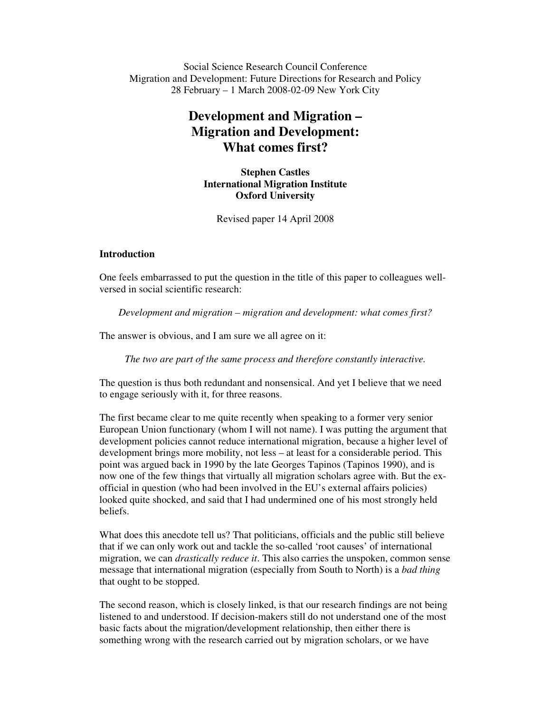Social Science Research Council Conference Migration and Development: Future Directions for Research and Policy 28 February – 1 March 2008-02-09 New York City

# **Development and Migration – Migration and Development: What comes first?**

# **Stephen Castles International Migration Institute Oxford University**

Revised paper 14 April 2008

## **Introduction**

One feels embarrassed to put the question in the title of this paper to colleagues wellversed in social scientific research:

*Development and migration – migration and development: what comes first?*

The answer is obvious, and I am sure we all agree on it:

*The two are part of the same process and therefore constantly interactive.*

The question is thus both redundant and nonsensical. And yet I believe that we need to engage seriously with it, for three reasons.

The first became clear to me quite recently when speaking to a former very senior European Union functionary (whom I will not name). I was putting the argument that development policies cannot reduce international migration, because a higher level of development brings more mobility, not less – at least for a considerable period. This point was argued back in 1990 by the late Georges Tapinos (Tapinos 1990), and is now one of the few things that virtually all migration scholars agree with. But the exofficial in question (who had been involved in the EU's external affairs policies) looked quite shocked, and said that I had undermined one of his most strongly held beliefs.

What does this anecdote tell us? That politicians, officials and the public still believe that if we can only work out and tackle the so-called 'root causes' of international migration, we can *drastically reduce it*. This also carries the unspoken, common sense message that international migration (especially from South to North) is a *bad thing* that ought to be stopped.

The second reason, which is closely linked, is that our research findings are not being listened to and understood. If decision-makers still do not understand one of the most basic facts about the migration/development relationship, then either there is something wrong with the research carried out by migration scholars, or we have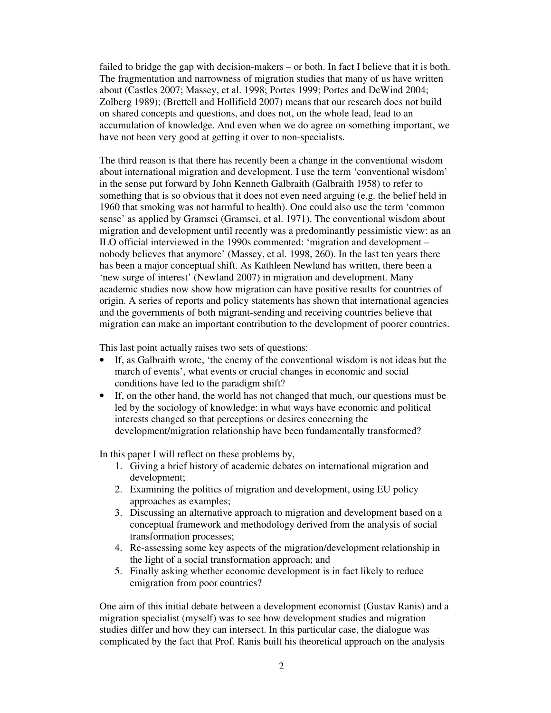failed to bridge the gap with decision-makers – or both. In fact I believe that it is both. The fragmentation and narrowness of migration studies that many of us have written about (Castles 2007; Massey, et al. 1998; Portes 1999; Portes and DeWind 2004; Zolberg 1989); (Brettell and Hollifield 2007) means that our research does not build on shared concepts and questions, and does not, on the whole lead, lead to an accumulation of knowledge. And even when we do agree on something important, we have not been very good at getting it over to non-specialists.

The third reason is that there has recently been a change in the conventional wisdom about international migration and development. I use the term 'conventional wisdom' in the sense put forward by John Kenneth Galbraith (Galbraith 1958) to refer to something that is so obvious that it does not even need arguing (e.g. the belief held in 1960 that smoking was not harmful to health). One could also use the term 'common sense' as applied by Gramsci (Gramsci, et al. 1971). The conventional wisdom about migration and development until recently was a predominantly pessimistic view: as an ILO official interviewed in the 1990s commented: 'migration and development – nobody believes that anymore' (Massey, et al. 1998, 260). In the last ten years there has been a major conceptual shift. As Kathleen Newland has written, there been a 'new surge of interest' (Newland 2007) in migration and development. Many academic studies now show how migration can have positive results for countries of origin. A series of reports and policy statements has shown that international agencies and the governments of both migrant-sending and receiving countries believe that migration can make an important contribution to the development of poorer countries.

This last point actually raises two sets of questions:

- If, as Galbraith wrote, 'the enemy of the conventional wisdom is not ideas but the march of events', what events or crucial changes in economic and social conditions have led to the paradigm shift?
- If, on the other hand, the world has not changed that much, our questions must be led by the sociology of knowledge: in what ways have economic and political interests changed so that perceptions or desires concerning the development/migration relationship have been fundamentally transformed?

In this paper I will reflect on these problems by,

- 1. Giving a brief history of academic debates on international migration and development;
- 2. Examining the politics of migration and development, using EU policy approaches as examples;
- 3. Discussing an alternative approach to migration and development based on a conceptual framework and methodology derived from the analysis of social transformation processes;
- 4. Re-assessing some key aspects of the migration/development relationship in the light of a social transformation approach; and
- 5. Finally asking whether economic development is in fact likely to reduce emigration from poor countries?

One aim of this initial debate between a development economist (Gustav Ranis) and a migration specialist (myself) was to see how development studies and migration studies differ and how they can intersect. In this particular case, the dialogue was complicated by the fact that Prof. Ranis built his theoretical approach on the analysis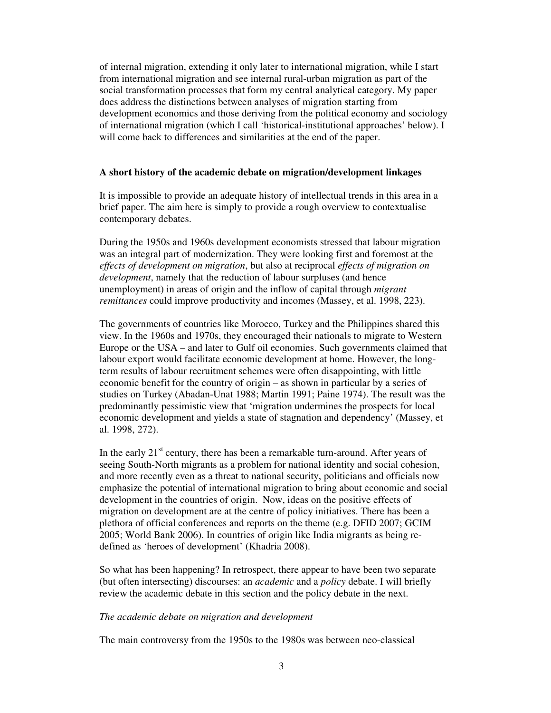of internal migration, extending it only later to international migration, while I start from international migration and see internal rural-urban migration as part of the social transformation processes that form my central analytical category. My paper does address the distinctions between analyses of migration starting from development economics and those deriving from the political economy and sociology of international migration (which I call 'historical-institutional approaches' below). I will come back to differences and similarities at the end of the paper.

## **A short history of the academic debate on migration/development linkages**

It is impossible to provide an adequate history of intellectual trends in this area in a brief paper. The aim here is simply to provide a rough overview to contextualise contemporary debates.

During the 1950s and 1960s development economists stressed that labour migration was an integral part of modernization. They were looking first and foremost at the *effects of development on migration*, but also at reciprocal *effects of migration on development*, namely that the reduction of labour surpluses (and hence unemployment) in areas of origin and the inflow of capital through *migrant remittances* could improve productivity and incomes (Massey, et al. 1998, 223).

The governments of countries like Morocco, Turkey and the Philippines shared this view. In the 1960s and 1970s, they encouraged their nationals to migrate to Western Europe or the USA – and later to Gulf oil economies. Such governments claimed that labour export would facilitate economic development at home. However, the longterm results of labour recruitment schemes were often disappointing, with little economic benefit for the country of origin – as shown in particular by a series of studies on Turkey (Abadan-Unat 1988; Martin 1991; Paine 1974). The result was the predominantly pessimistic view that 'migration undermines the prospects for local economic development and yields a state of stagnation and dependency' (Massey, et al. 1998, 272).

In the early 21<sup>st</sup> century, there has been a remarkable turn-around. After years of seeing South-North migrants as a problem for national identity and social cohesion, and more recently even as a threat to national security, politicians and officials now emphasize the potential of international migration to bring about economic and social development in the countries of origin. Now, ideas on the positive effects of migration on development are at the centre of policy initiatives. There has been a plethora of official conferences and reports on the theme (e.g. DFID 2007; GCIM 2005; World Bank 2006). In countries of origin like India migrants as being redefined as 'heroes of development' (Khadria 2008).

So what has been happening? In retrospect, there appear to have been two separate (but often intersecting) discourses: an *academic* and a *policy* debate. I will briefly review the academic debate in this section and the policy debate in the next.

## *The academic debate on migration and development*

The main controversy from the 1950s to the 1980s was between neo-classical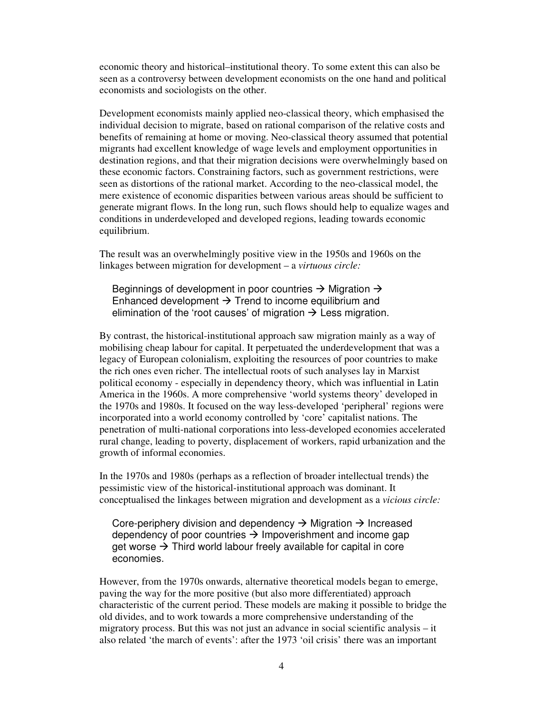economic theory and historical–institutional theory. To some extent this can also be seen as a controversy between development economists on the one hand and political economists and sociologists on the other.

Development economists mainly applied neo-classical theory, which emphasised the individual decision to migrate, based on rational comparison of the relative costs and benefits of remaining at home or moving. Neo-classical theory assumed that potential migrants had excellent knowledge of wage levels and employment opportunities in destination regions, and that their migration decisions were overwhelmingly based on these economic factors. Constraining factors, such as government restrictions, were seen as distortions of the rational market. According to the neo-classical model, the mere existence of economic disparities between various areas should be sufficient to generate migrant flows. In the long run, such flows should help to equalize wages and conditions in underdeveloped and developed regions, leading towards economic equilibrium.

The result was an overwhelmingly positive view in the 1950s and 1960s on the linkages between migration for development – a *virtuous circle:*

Beginnings of development in poor countries  $\rightarrow$  Migration  $\rightarrow$ Enhanced development  $\rightarrow$  Trend to income equilibrium and elimination of the 'root causes' of migration  $\rightarrow$  Less migration.

By contrast, the historical-institutional approach saw migration mainly as a way of mobilising cheap labour for capital. It perpetuated the underdevelopment that was a legacy of European colonialism, exploiting the resources of poor countries to make the rich ones even richer. The intellectual roots of such analyses lay in Marxist political economy - especially in dependency theory, which was influential in Latin America in the 1960s. A more comprehensive 'world systems theory' developed in the 1970s and 1980s. It focused on the way less-developed 'peripheral' regions were incorporated into a world economy controlled by 'core' capitalist nations. The penetration of multi-national corporations into less-developed economies accelerated rural change, leading to poverty, displacement of workers, rapid urbanization and the growth of informal economies.

In the 1970s and 1980s (perhaps as a reflection of broader intellectual trends) the pessimistic view of the historical-institutional approach was dominant. It conceptualised the linkages between migration and development as a *vicious circle:*

Core-periphery division and dependency  $\rightarrow$  Migration  $\rightarrow$  Increased dependency of poor countries  $\rightarrow$  Impoverishment and income gap get worse  $\rightarrow$  Third world labour freely available for capital in core economies.

However, from the 1970s onwards, alternative theoretical models began to emerge, paving the way for the more positive (but also more differentiated) approach characteristic of the current period. These models are making it possible to bridge the old divides, and to work towards a more comprehensive understanding of the migratory process. But this was not just an advance in social scientific analysis – it also related 'the march of events': after the 1973 'oil crisis' there was an important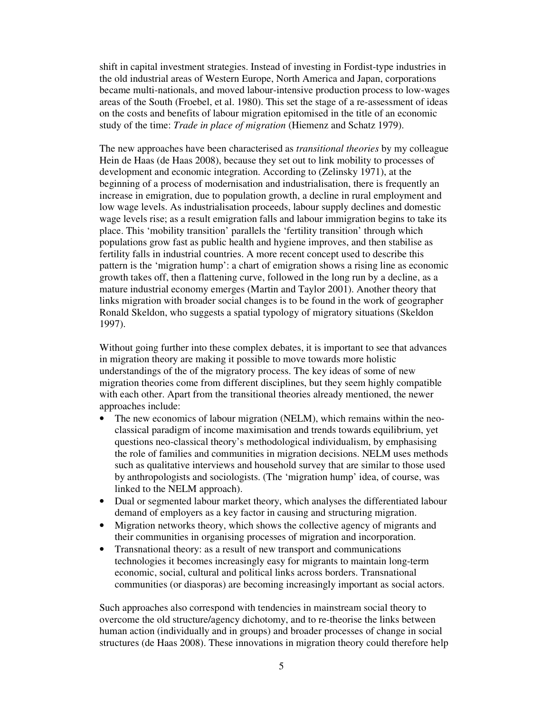shift in capital investment strategies. Instead of investing in Fordist-type industries in the old industrial areas of Western Europe, North America and Japan, corporations became multi-nationals, and moved labour-intensive production process to low-wages areas of the South (Froebel, et al. 1980). This set the stage of a re-assessment of ideas on the costs and benefits of labour migration epitomised in the title of an economic study of the time: *Trade in place of migration* (Hiemenz and Schatz 1979).

The new approaches have been characterised as *transitional theories* by my colleague Hein de Haas (de Haas 2008), because they set out to link mobility to processes of development and economic integration. According to (Zelinsky 1971), at the beginning of a process of modernisation and industrialisation, there is frequently an increase in emigration, due to population growth, a decline in rural employment and low wage levels. As industrialisation proceeds, labour supply declines and domestic wage levels rise; as a result emigration falls and labour immigration begins to take its place. This 'mobility transition' parallels the 'fertility transition' through which populations grow fast as public health and hygiene improves, and then stabilise as fertility falls in industrial countries. A more recent concept used to describe this pattern is the 'migration hump': a chart of emigration shows a rising line as economic growth takes off, then a flattening curve, followed in the long run by a decline, as a mature industrial economy emerges (Martin and Taylor 2001). Another theory that links migration with broader social changes is to be found in the work of geographer Ronald Skeldon, who suggests a spatial typology of migratory situations (Skeldon 1997).

Without going further into these complex debates, it is important to see that advances in migration theory are making it possible to move towards more holistic understandings of the of the migratory process. The key ideas of some of new migration theories come from different disciplines, but they seem highly compatible with each other. Apart from the transitional theories already mentioned, the newer approaches include:

- The new economics of labour migration (NELM), which remains within the neoclassical paradigm of income maximisation and trends towards equilibrium, yet questions neo-classical theory's methodological individualism, by emphasising the role of families and communities in migration decisions. NELM uses methods such as qualitative interviews and household survey that are similar to those used by anthropologists and sociologists. (The 'migration hump' idea, of course, was linked to the NELM approach).
- Dual or segmented labour market theory, which analyses the differentiated labour demand of employers as a key factor in causing and structuring migration.
- Migration networks theory, which shows the collective agency of migrants and their communities in organising processes of migration and incorporation.
- Transnational theory: as a result of new transport and communications technologies it becomes increasingly easy for migrants to maintain long-term economic, social, cultural and political links across borders. Transnational communities (or diasporas) are becoming increasingly important as social actors.

Such approaches also correspond with tendencies in mainstream social theory to overcome the old structure/agency dichotomy, and to re-theorise the links between human action (individually and in groups) and broader processes of change in social structures (de Haas 2008). These innovations in migration theory could therefore help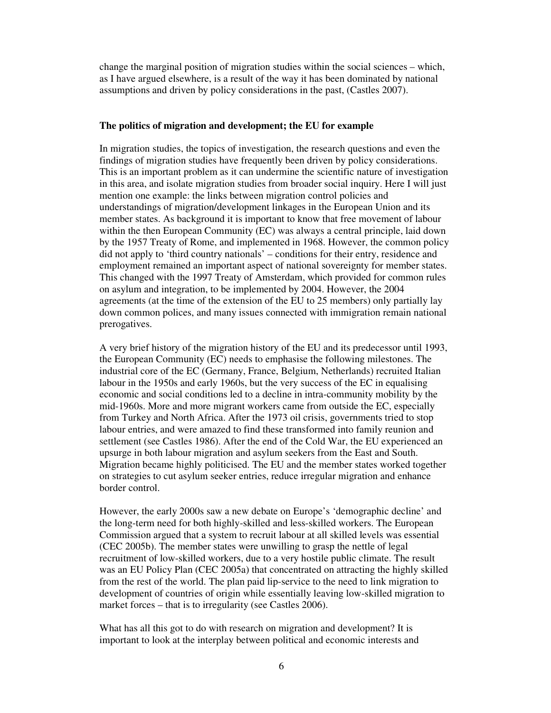change the marginal position of migration studies within the social sciences – which, as I have argued elsewhere, is a result of the way it has been dominated by national assumptions and driven by policy considerations in the past, (Castles 2007).

#### **The politics of migration and development; the EU for example**

In migration studies, the topics of investigation, the research questions and even the findings of migration studies have frequently been driven by policy considerations. This is an important problem as it can undermine the scientific nature of investigation in this area, and isolate migration studies from broader social inquiry. Here I will just mention one example: the links between migration control policies and understandings of migration/development linkages in the European Union and its member states. As background it is important to know that free movement of labour within the then European Community (EC) was always a central principle, laid down by the 1957 Treaty of Rome, and implemented in 1968. However, the common policy did not apply to 'third country nationals' – conditions for their entry, residence and employment remained an important aspect of national sovereignty for member states. This changed with the 1997 Treaty of Amsterdam, which provided for common rules on asylum and integration, to be implemented by 2004. However, the 2004 agreements (at the time of the extension of the EU to 25 members) only partially lay down common polices, and many issues connected with immigration remain national prerogatives.

A very brief history of the migration history of the EU and its predecessor until 1993, the European Community (EC) needs to emphasise the following milestones. The industrial core of the EC (Germany, France, Belgium, Netherlands) recruited Italian labour in the 1950s and early 1960s, but the very success of the EC in equalising economic and social conditions led to a decline in intra-community mobility by the mid-1960s. More and more migrant workers came from outside the EC, especially from Turkey and North Africa. After the 1973 oil crisis, governments tried to stop labour entries, and were amazed to find these transformed into family reunion and settlement (see Castles 1986). After the end of the Cold War, the EU experienced an upsurge in both labour migration and asylum seekers from the East and South. Migration became highly politicised. The EU and the member states worked together on strategies to cut asylum seeker entries, reduce irregular migration and enhance border control.

However, the early 2000s saw a new debate on Europe's 'demographic decline' and the long-term need for both highly-skilled and less-skilled workers. The European Commission argued that a system to recruit labour at all skilled levels was essential (CEC 2005b). The member states were unwilling to grasp the nettle of legal recruitment of low-skilled workers, due to a very hostile public climate. The result was an EU Policy Plan (CEC 2005a) that concentrated on attracting the highly skilled from the rest of the world. The plan paid lip-service to the need to link migration to development of countries of origin while essentially leaving low-skilled migration to market forces – that is to irregularity (see Castles 2006).

What has all this got to do with research on migration and development? It is important to look at the interplay between political and economic interests and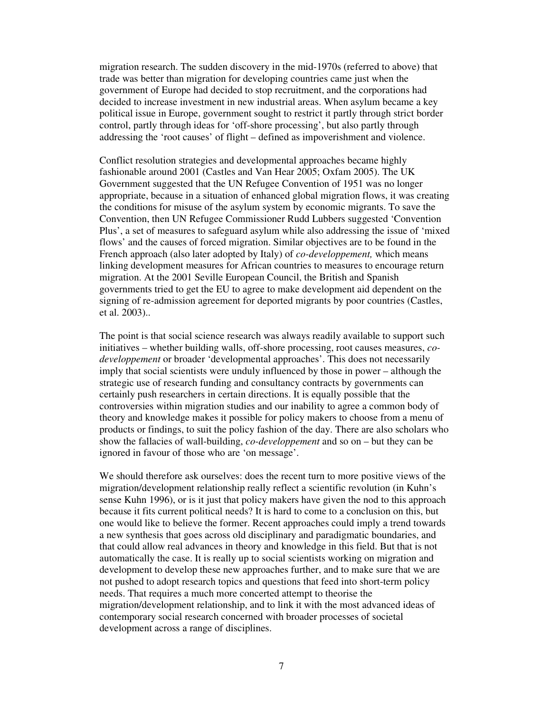migration research. The sudden discovery in the mid-1970s (referred to above) that trade was better than migration for developing countries came just when the government of Europe had decided to stop recruitment, and the corporations had decided to increase investment in new industrial areas. When asylum became a key political issue in Europe, government sought to restrict it partly through strict border control, partly through ideas for 'off-shore processing', but also partly through addressing the 'root causes' of flight – defined as impoverishment and violence.

Conflict resolution strategies and developmental approaches became highly fashionable around 2001 (Castles and Van Hear 2005; Oxfam 2005). The UK Government suggested that the UN Refugee Convention of 1951 was no longer appropriate, because in a situation of enhanced global migration flows, it was creating the conditions for misuse of the asylum system by economic migrants. To save the Convention, then UN Refugee Commissioner Rudd Lubbers suggested 'Convention Plus', a set of measures to safeguard asylum while also addressing the issue of 'mixed flows' and the causes of forced migration. Similar objectives are to be found in the French approach (also later adopted by Italy) of *co-developpement,* which means linking development measures for African countries to measures to encourage return migration. At the 2001 Seville European Council, the British and Spanish governments tried to get the EU to agree to make development aid dependent on the signing of re-admission agreement for deported migrants by poor countries (Castles, et al. 2003)..

The point is that social science research was always readily available to support such initiatives – whether building walls, off-shore processing, root causes measures, *codeveloppement* or broader 'developmental approaches'. This does not necessarily imply that social scientists were unduly influenced by those in power – although the strategic use of research funding and consultancy contracts by governments can certainly push researchers in certain directions. It is equally possible that the controversies within migration studies and our inability to agree a common body of theory and knowledge makes it possible for policy makers to choose from a menu of products or findings, to suit the policy fashion of the day. There are also scholars who show the fallacies of wall-building, *co-developpement* and so on – but they can be ignored in favour of those who are 'on message'.

We should therefore ask ourselves: does the recent turn to more positive views of the migration/development relationship really reflect a scientific revolution (in Kuhn's sense Kuhn 1996), or is it just that policy makers have given the nod to this approach because it fits current political needs? It is hard to come to a conclusion on this, but one would like to believe the former. Recent approaches could imply a trend towards a new synthesis that goes across old disciplinary and paradigmatic boundaries, and that could allow real advances in theory and knowledge in this field. But that is not automatically the case. It is really up to social scientists working on migration and development to develop these new approaches further, and to make sure that we are not pushed to adopt research topics and questions that feed into short-term policy needs. That requires a much more concerted attempt to theorise the migration/development relationship, and to link it with the most advanced ideas of contemporary social research concerned with broader processes of societal development across a range of disciplines.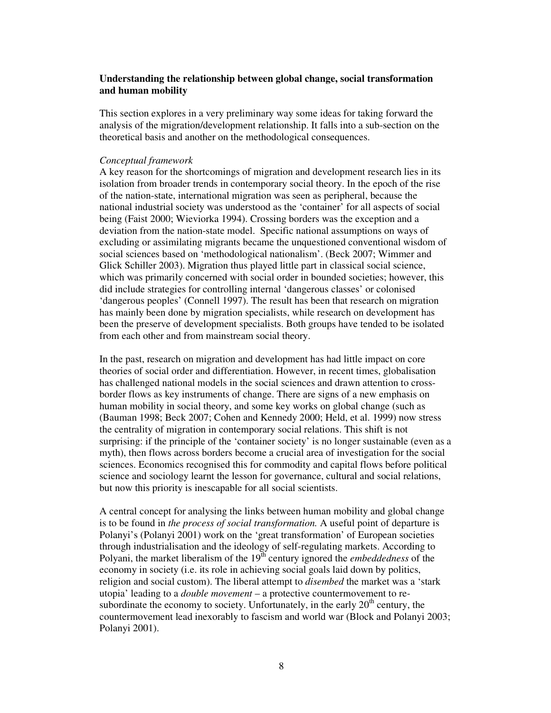# **Understanding the relationship between global change, social transformation and human mobility**

This section explores in a very preliminary way some ideas for taking forward the analysis of the migration/development relationship. It falls into a sub-section on the theoretical basis and another on the methodological consequences.

#### *Conceptual framework*

A key reason for the shortcomings of migration and development research lies in its isolation from broader trends in contemporary social theory. In the epoch of the rise of the nation-state, international migration was seen as peripheral, because the national industrial society was understood as the 'container' for all aspects of social being (Faist 2000; Wieviorka 1994). Crossing borders was the exception and a deviation from the nation-state model. Specific national assumptions on ways of excluding or assimilating migrants became the unquestioned conventional wisdom of social sciences based on 'methodological nationalism'. (Beck 2007; Wimmer and Glick Schiller 2003). Migration thus played little part in classical social science, which was primarily concerned with social order in bounded societies; however, this did include strategies for controlling internal 'dangerous classes' or colonised 'dangerous peoples' (Connell 1997). The result has been that research on migration has mainly been done by migration specialists, while research on development has been the preserve of development specialists. Both groups have tended to be isolated from each other and from mainstream social theory.

In the past, research on migration and development has had little impact on core theories of social order and differentiation. However, in recent times, globalisation has challenged national models in the social sciences and drawn attention to crossborder flows as key instruments of change. There are signs of a new emphasis on human mobility in social theory, and some key works on global change (such as (Bauman 1998; Beck 2007; Cohen and Kennedy 2000; Held, et al. 1999) now stress the centrality of migration in contemporary social relations. This shift is not surprising: if the principle of the 'container society' is no longer sustainable (even as a myth), then flows across borders become a crucial area of investigation for the social sciences. Economics recognised this for commodity and capital flows before political science and sociology learnt the lesson for governance, cultural and social relations, but now this priority is inescapable for all social scientists.

A central concept for analysing the links between human mobility and global change is to be found in *the process of social transformation.* A useful point of departure is Polanyi's (Polanyi 2001) work on the 'great transformation' of European societies through industrialisation and the ideology of self-regulating markets. According to Polyani, the market liberalism of the 19<sup>th</sup> century ignored the *embeddedness* of the economy in society (i.e. its role in achieving social goals laid down by politics, religion and social custom). The liberal attempt to *disembed* the market was a 'stark utopia' leading to a *double movement* – a protective countermovement to resubordinate the economy to society. Unfortunately, in the early  $20<sup>th</sup>$  century, the countermovement lead inexorably to fascism and world war (Block and Polanyi 2003; Polanyi 2001).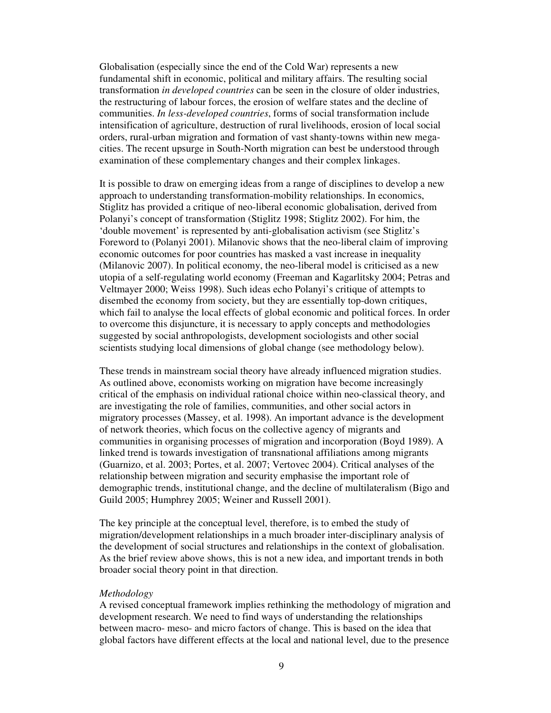Globalisation (especially since the end of the Cold War) represents a new fundamental shift in economic, political and military affairs. The resulting social transformation *in developed countries* can be seen in the closure of older industries, the restructuring of labour forces, the erosion of welfare states and the decline of communities. *In less-developed countries*, forms of social transformation include intensification of agriculture, destruction of rural livelihoods, erosion of local social orders, rural-urban migration and formation of vast shanty-towns within new megacities. The recent upsurge in South-North migration can best be understood through examination of these complementary changes and their complex linkages.

It is possible to draw on emerging ideas from a range of disciplines to develop a new approach to understanding transformation-mobility relationships. In economics, Stiglitz has provided a critique of neo-liberal economic globalisation, derived from Polanyi's concept of transformation (Stiglitz 1998; Stiglitz 2002). For him, the 'double movement' is represented by anti-globalisation activism (see Stiglitz's Foreword to (Polanyi 2001). Milanovic shows that the neo-liberal claim of improving economic outcomes for poor countries has masked a vast increase in inequality (Milanovic 2007). In political economy, the neo-liberal model is criticised as a new utopia of a self-regulating world economy (Freeman and Kagarlitsky 2004; Petras and Veltmayer 2000; Weiss 1998). Such ideas echo Polanyi's critique of attempts to disembed the economy from society, but they are essentially top-down critiques, which fail to analyse the local effects of global economic and political forces. In order to overcome this disjuncture, it is necessary to apply concepts and methodologies suggested by social anthropologists, development sociologists and other social scientists studying local dimensions of global change (see methodology below).

These trends in mainstream social theory have already influenced migration studies. As outlined above, economists working on migration have become increasingly critical of the emphasis on individual rational choice within neo-classical theory, and are investigating the role of families, communities, and other social actors in migratory processes (Massey, et al. 1998). An important advance is the development of network theories, which focus on the collective agency of migrants and communities in organising processes of migration and incorporation (Boyd 1989). A linked trend is towards investigation of transnational affiliations among migrants (Guarnizo, et al. 2003; Portes, et al. 2007; Vertovec 2004). Critical analyses of the relationship between migration and security emphasise the important role of demographic trends, institutional change, and the decline of multilateralism (Bigo and Guild 2005; Humphrey 2005; Weiner and Russell 2001).

The key principle at the conceptual level, therefore, is to embed the study of migration/development relationships in a much broader inter-disciplinary analysis of the development of social structures and relationships in the context of globalisation. As the brief review above shows, this is not a new idea, and important trends in both broader social theory point in that direction.

## *Methodology*

A revised conceptual framework implies rethinking the methodology of migration and development research. We need to find ways of understanding the relationships between macro- meso- and micro factors of change. This is based on the idea that global factors have different effects at the local and national level, due to the presence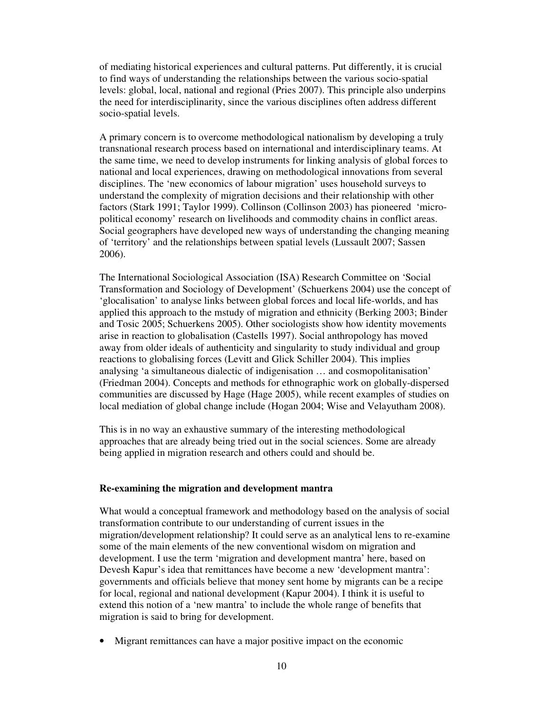of mediating historical experiences and cultural patterns. Put differently, it is crucial to find ways of understanding the relationships between the various socio-spatial levels: global, local, national and regional (Pries 2007). This principle also underpins the need for interdisciplinarity, since the various disciplines often address different socio-spatial levels.

A primary concern is to overcome methodological nationalism by developing a truly transnational research process based on international and interdisciplinary teams. At the same time, we need to develop instruments for linking analysis of global forces to national and local experiences, drawing on methodological innovations from several disciplines. The 'new economics of labour migration' uses household surveys to understand the complexity of migration decisions and their relationship with other factors (Stark 1991; Taylor 1999). Collinson (Collinson 2003) has pioneered 'micropolitical economy' research on livelihoods and commodity chains in conflict areas. Social geographers have developed new ways of understanding the changing meaning of 'territory' and the relationships between spatial levels (Lussault 2007; Sassen 2006).

The International Sociological Association (ISA) Research Committee on 'Social Transformation and Sociology of Development' (Schuerkens 2004) use the concept of 'glocalisation' to analyse links between global forces and local life-worlds, and has applied this approach to the mstudy of migration and ethnicity (Berking 2003; Binder and Tosic 2005; Schuerkens 2005). Other sociologists show how identity movements arise in reaction to globalisation (Castells 1997). Social anthropology has moved away from older ideals of authenticity and singularity to study individual and group reactions to globalising forces (Levitt and Glick Schiller 2004). This implies analysing 'a simultaneous dialectic of indigenisation … and cosmopolitanisation' (Friedman 2004). Concepts and methods for ethnographic work on globally-dispersed communities are discussed by Hage (Hage 2005), while recent examples of studies on local mediation of global change include (Hogan 2004; Wise and Velayutham 2008).

This is in no way an exhaustive summary of the interesting methodological approaches that are already being tried out in the social sciences. Some are already being applied in migration research and others could and should be.

#### **Re-examining the migration and development mantra**

What would a conceptual framework and methodology based on the analysis of social transformation contribute to our understanding of current issues in the migration/development relationship? It could serve as an analytical lens to re-examine some of the main elements of the new conventional wisdom on migration and development. I use the term 'migration and development mantra' here, based on Devesh Kapur's idea that remittances have become a new 'development mantra': governments and officials believe that money sent home by migrants can be a recipe for local, regional and national development (Kapur 2004). I think it is useful to extend this notion of a 'new mantra' to include the whole range of benefits that migration is said to bring for development.

• Migrant remittances can have a major positive impact on the economic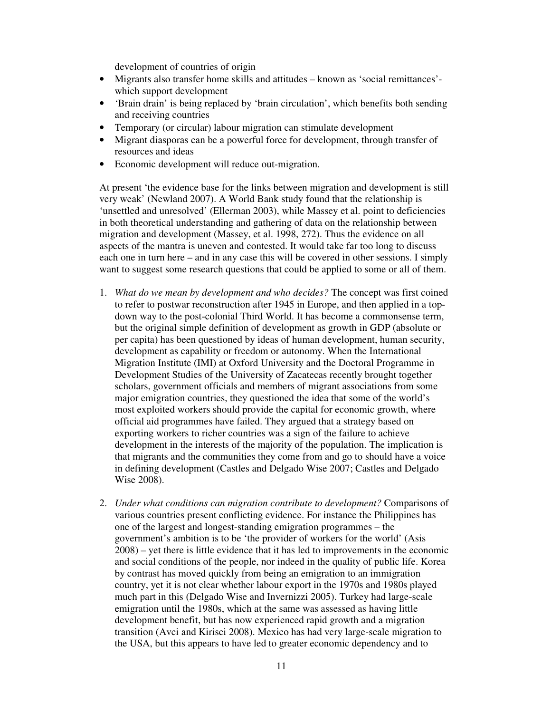development of countries of origin

- Migrants also transfer home skills and attitudes known as 'social remittances' which support development
- 'Brain drain' is being replaced by 'brain circulation', which benefits both sending and receiving countries
- Temporary (or circular) labour migration can stimulate development
- Migrant diasporas can be a powerful force for development, through transfer of resources and ideas
- Economic development will reduce out-migration.

At present 'the evidence base for the links between migration and development is still very weak' (Newland 2007). A World Bank study found that the relationship is 'unsettled and unresolved' (Ellerman 2003), while Massey et al. point to deficiencies in both theoretical understanding and gathering of data on the relationship between migration and development (Massey, et al. 1998, 272). Thus the evidence on all aspects of the mantra is uneven and contested. It would take far too long to discuss each one in turn here – and in any case this will be covered in other sessions. I simply want to suggest some research questions that could be applied to some or all of them.

- 1. *What do we mean by development and who decides?* The concept was first coined to refer to postwar reconstruction after 1945 in Europe, and then applied in a topdown way to the post-colonial Third World. It has become a commonsense term, but the original simple definition of development as growth in GDP (absolute or per capita) has been questioned by ideas of human development, human security, development as capability or freedom or autonomy. When the International Migration Institute (IMI) at Oxford University and the Doctoral Programme in Development Studies of the University of Zacatecas recently brought together scholars, government officials and members of migrant associations from some major emigration countries, they questioned the idea that some of the world's most exploited workers should provide the capital for economic growth, where official aid programmes have failed. They argued that a strategy based on exporting workers to richer countries was a sign of the failure to achieve development in the interests of the majority of the population. The implication is that migrants and the communities they come from and go to should have a voice in defining development (Castles and Delgado Wise 2007; Castles and Delgado Wise 2008).
- 2. *Under what conditions can migration contribute to development?* Comparisons of various countries present conflicting evidence. For instance the Philippines has one of the largest and longest-standing emigration programmes – the government's ambition is to be 'the provider of workers for the world' (Asis 2008) – yet there is little evidence that it has led to improvements in the economic and social conditions of the people, nor indeed in the quality of public life. Korea by contrast has moved quickly from being an emigration to an immigration country, yet it is not clear whether labour export in the 1970s and 1980s played much part in this (Delgado Wise and Invernizzi 2005). Turkey had large-scale emigration until the 1980s, which at the same was assessed as having little development benefit, but has now experienced rapid growth and a migration transition (Avci and Kirisci 2008). Mexico has had very large-scale migration to the USA, but this appears to have led to greater economic dependency and to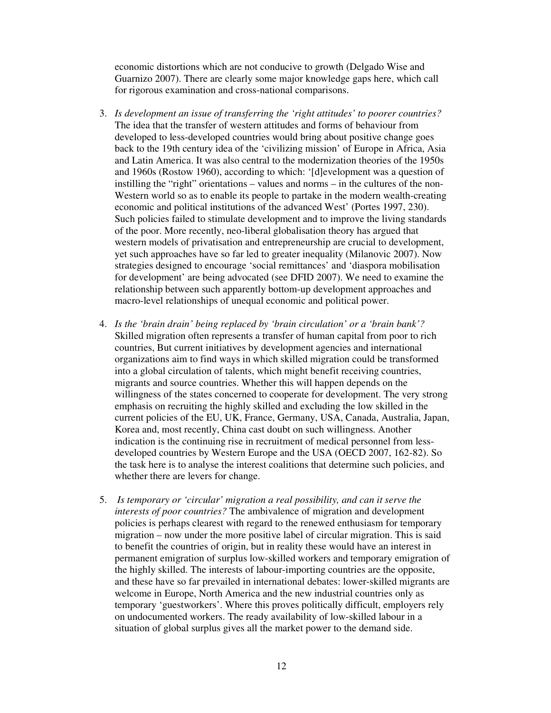economic distortions which are not conducive to growth (Delgado Wise and Guarnizo 2007). There are clearly some major knowledge gaps here, which call for rigorous examination and cross-national comparisons.

- 3. *Is development an issue of transferring the 'right attitudes' to poorer countries?* The idea that the transfer of western attitudes and forms of behaviour from developed to less-developed countries would bring about positive change goes back to the 19th century idea of the 'civilizing mission' of Europe in Africa, Asia and Latin America. It was also central to the modernization theories of the 1950s and 1960s (Rostow 1960), according to which: '[d]evelopment was a question of instilling the "right" orientations – values and norms – in the cultures of the non-Western world so as to enable its people to partake in the modern wealth-creating economic and political institutions of the advanced West' (Portes 1997, 230). Such policies failed to stimulate development and to improve the living standards of the poor. More recently, neo-liberal globalisation theory has argued that western models of privatisation and entrepreneurship are crucial to development, yet such approaches have so far led to greater inequality (Milanovic 2007). Now strategies designed to encourage 'social remittances' and 'diaspora mobilisation for development' are being advocated (see DFID 2007). We need to examine the relationship between such apparently bottom-up development approaches and macro-level relationships of unequal economic and political power.
- 4. *Is the 'brain drain' being replaced by 'brain circulation' or a 'brain bank'?* Skilled migration often represents a transfer of human capital from poor to rich countries, But current initiatives by development agencies and international organizations aim to find ways in which skilled migration could be transformed into a global circulation of talents, which might benefit receiving countries, migrants and source countries. Whether this will happen depends on the willingness of the states concerned to cooperate for development. The very strong emphasis on recruiting the highly skilled and excluding the low skilled in the current policies of the EU, UK, France, Germany, USA, Canada, Australia, Japan, Korea and, most recently, China cast doubt on such willingness. Another indication is the continuing rise in recruitment of medical personnel from lessdeveloped countries by Western Europe and the USA (OECD 2007, 162-82). So the task here is to analyse the interest coalitions that determine such policies, and whether there are levers for change.
- 5. *Is temporary or 'circular' migration a real possibility, and can it serve the interests of poor countries?* The ambivalence of migration and development policies is perhaps clearest with regard to the renewed enthusiasm for temporary migration – now under the more positive label of circular migration. This is said to benefit the countries of origin, but in reality these would have an interest in permanent emigration of surplus low-skilled workers and temporary emigration of the highly skilled. The interests of labour-importing countries are the opposite, and these have so far prevailed in international debates: lower-skilled migrants are welcome in Europe, North America and the new industrial countries only as temporary 'guestworkers'. Where this proves politically difficult, employers rely on undocumented workers. The ready availability of low-skilled labour in a situation of global surplus gives all the market power to the demand side.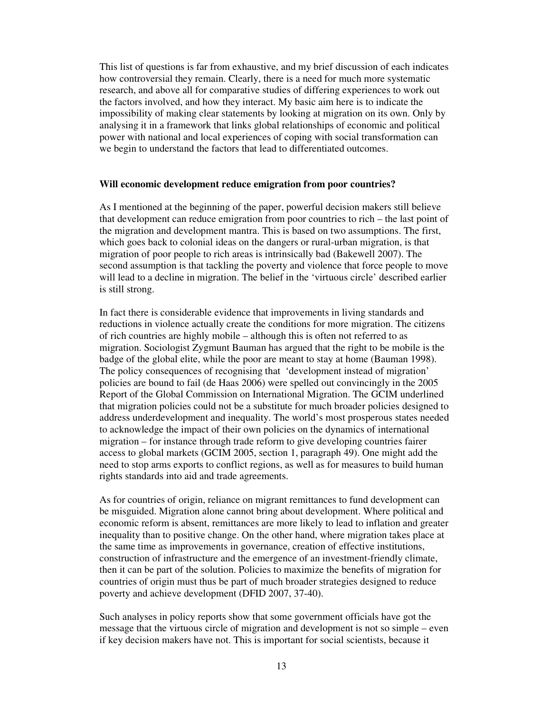This list of questions is far from exhaustive, and my brief discussion of each indicates how controversial they remain. Clearly, there is a need for much more systematic research, and above all for comparative studies of differing experiences to work out the factors involved, and how they interact. My basic aim here is to indicate the impossibility of making clear statements by looking at migration on its own. Only by analysing it in a framework that links global relationships of economic and political power with national and local experiences of coping with social transformation can we begin to understand the factors that lead to differentiated outcomes.

#### **Will economic development reduce emigration from poor countries?**

As I mentioned at the beginning of the paper, powerful decision makers still believe that development can reduce emigration from poor countries to rich – the last point of the migration and development mantra. This is based on two assumptions. The first, which goes back to colonial ideas on the dangers or rural-urban migration, is that migration of poor people to rich areas is intrinsically bad (Bakewell 2007). The second assumption is that tackling the poverty and violence that force people to move will lead to a decline in migration. The belief in the 'virtuous circle' described earlier is still strong.

In fact there is considerable evidence that improvements in living standards and reductions in violence actually create the conditions for more migration. The citizens of rich countries are highly mobile – although this is often not referred to as migration. Sociologist Zygmunt Bauman has argued that the right to be mobile is the badge of the global elite, while the poor are meant to stay at home (Bauman 1998). The policy consequences of recognising that 'development instead of migration' policies are bound to fail (de Haas 2006) were spelled out convincingly in the 2005 Report of the Global Commission on International Migration. The GCIM underlined that migration policies could not be a substitute for much broader policies designed to address underdevelopment and inequality. The world's most prosperous states needed to acknowledge the impact of their own policies on the dynamics of international migration – for instance through trade reform to give developing countries fairer access to global markets (GCIM 2005, section 1, paragraph 49). One might add the need to stop arms exports to conflict regions, as well as for measures to build human rights standards into aid and trade agreements.

As for countries of origin, reliance on migrant remittances to fund development can be misguided. Migration alone cannot bring about development. Where political and economic reform is absent, remittances are more likely to lead to inflation and greater inequality than to positive change. On the other hand, where migration takes place at the same time as improvements in governance, creation of effective institutions, construction of infrastructure and the emergence of an investment-friendly climate, then it can be part of the solution. Policies to maximize the benefits of migration for countries of origin must thus be part of much broader strategies designed to reduce poverty and achieve development (DFID 2007, 37-40).

Such analyses in policy reports show that some government officials have got the message that the virtuous circle of migration and development is not so simple – even if key decision makers have not. This is important for social scientists, because it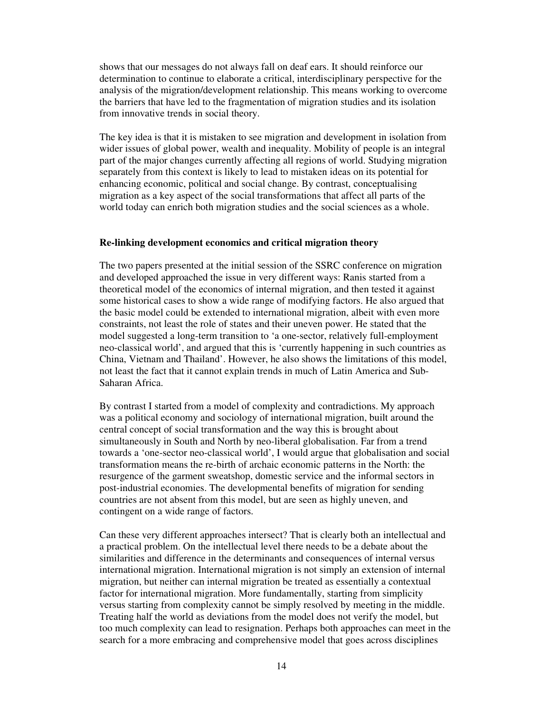shows that our messages do not always fall on deaf ears. It should reinforce our determination to continue to elaborate a critical, interdisciplinary perspective for the analysis of the migration/development relationship. This means working to overcome the barriers that have led to the fragmentation of migration studies and its isolation from innovative trends in social theory.

The key idea is that it is mistaken to see migration and development in isolation from wider issues of global power, wealth and inequality. Mobility of people is an integral part of the major changes currently affecting all regions of world. Studying migration separately from this context is likely to lead to mistaken ideas on its potential for enhancing economic, political and social change. By contrast, conceptualising migration as a key aspect of the social transformations that affect all parts of the world today can enrich both migration studies and the social sciences as a whole.

# **Re-linking development economics and critical migration theory**

The two papers presented at the initial session of the SSRC conference on migration and developed approached the issue in very different ways: Ranis started from a theoretical model of the economics of internal migration, and then tested it against some historical cases to show a wide range of modifying factors. He also argued that the basic model could be extended to international migration, albeit with even more constraints, not least the role of states and their uneven power. He stated that the model suggested a long-term transition to 'a one-sector, relatively full-employment neo-classical world', and argued that this is 'currently happening in such countries as China, Vietnam and Thailand'. However, he also shows the limitations of this model, not least the fact that it cannot explain trends in much of Latin America and Sub-Saharan Africa.

By contrast I started from a model of complexity and contradictions. My approach was a political economy and sociology of international migration, built around the central concept of social transformation and the way this is brought about simultaneously in South and North by neo-liberal globalisation. Far from a trend towards a 'one-sector neo-classical world', I would argue that globalisation and social transformation means the re-birth of archaic economic patterns in the North: the resurgence of the garment sweatshop, domestic service and the informal sectors in post-industrial economies. The developmental benefits of migration for sending countries are not absent from this model, but are seen as highly uneven, and contingent on a wide range of factors.

Can these very different approaches intersect? That is clearly both an intellectual and a practical problem. On the intellectual level there needs to be a debate about the similarities and difference in the determinants and consequences of internal versus international migration. International migration is not simply an extension of internal migration, but neither can internal migration be treated as essentially a contextual factor for international migration. More fundamentally, starting from simplicity versus starting from complexity cannot be simply resolved by meeting in the middle. Treating half the world as deviations from the model does not verify the model, but too much complexity can lead to resignation. Perhaps both approaches can meet in the search for a more embracing and comprehensive model that goes across disciplines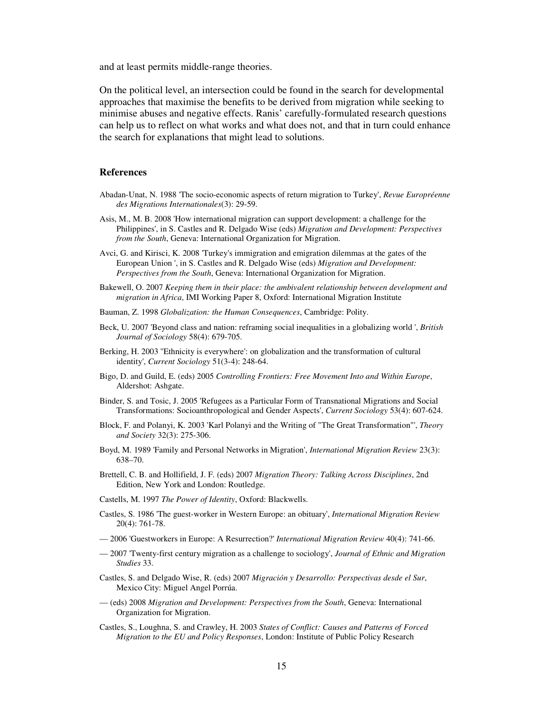and at least permits middle-range theories.

On the political level, an intersection could be found in the search for developmental approaches that maximise the benefits to be derived from migration while seeking to minimise abuses and negative effects. Ranis' carefully-formulated research questions can help us to reflect on what works and what does not, and that in turn could enhance the search for explanations that might lead to solutions.

#### **References**

- Abadan-Unat, N. 1988 'The socio-economic aspects of return migration to Turkey', *Revue Europréenne des Migrations Internationales*(3): 29-59.
- Asis, M., M. B. 2008 'How international migration can support development: a challenge for the Philippines', in S. Castles and R. Delgado Wise (eds) *Migration and Development: Perspectives from the South*, Geneva: International Organization for Migration.
- Avci, G. and Kirisci, K. 2008 'Turkey's immigration and emigration dilemmas at the gates of the European Union ', in S. Castles and R. Delgado Wise (eds) *Migration and Development: Perspectives from the South*, Geneva: International Organization for Migration.
- Bakewell, O. 2007 *Keeping them in their place: the ambivalent relationship between development and migration in Africa*, IMI Working Paper 8, Oxford: International Migration Institute
- Bauman, Z. 1998 *Globalization: the Human Consequences*, Cambridge: Polity.
- Beck, U. 2007 'Beyond class and nation: reframing social inequalities in a globalizing world ', *British Journal of Sociology* 58(4): 679-705.
- Berking, H. 2003 ''Ethnicity is everywhere': on globalization and the transformation of cultural identity', *Current Sociology* 51(3-4): 248-64.
- Bigo, D. and Guild, E. (eds) 2005 *Controlling Frontiers: Free Movement Into and Within Europe*, Aldershot: Ashgate.
- Binder, S. and Tosic, J. 2005 'Refugees as a Particular Form of Transnational Migrations and Social Transformations: Socioanthropological and Gender Aspects', *Current Sociology* 53(4): 607-624.
- Block, F. and Polanyi, K. 2003 'Karl Polanyi and the Writing of "The Great Transformation"', *Theory and Society* 32(3): 275-306.
- Boyd, M. 1989 'Family and Personal Networks in Migration', *International Migration Review* 23(3): 638–70.
- Brettell, C. B. and Hollifield, J. F. (eds) 2007 *Migration Theory: Talking Across Disciplines*, 2nd Edition, New York and London: Routledge.
- Castells, M. 1997 *The Power of Identity*, Oxford: Blackwells.
- Castles, S. 1986 'The guest-worker in Western Europe: an obituary', *International Migration Review* 20(4): 761-78.
- 2006 'Guestworkers in Europe: A Resurrection?'*International Migration Review* 40(4): 741-66.
- 2007 'Twenty-first century migration as a challenge to sociology', *Journal of Ethnic and Migration Studies* 33.
- Castles, S. and Delgado Wise, R. (eds) 2007 *Migración y Desarrollo: Perspectivas desde el Sur*, Mexico City: Miguel Angel Porrúa.
- (eds) 2008 *Migration and Development: Perspectives from the South*, Geneva: International Organization for Migration.
- Castles, S., Loughna, S. and Crawley, H. 2003 *States of Conflict: Causes and Patterns of Forced Migration to the EU and Policy Responses*, London: Institute of Public Policy Research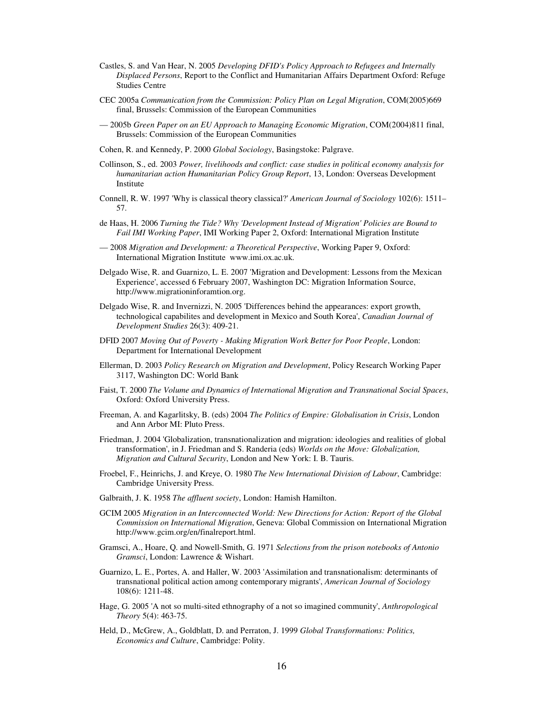- Castles, S. and Van Hear, N. 2005 *Developing DFID's Policy Approach to Refugees and Internally Displaced Persons*, Report to the Conflict and Humanitarian Affairs Department Oxford: Refuge Studies Centre
- CEC 2005a *Communication from the Commission: Policy Plan on Legal Migration*, COM(2005)669 final, Brussels: Commission of the European Communities
- 2005b *Green Paper on an EU Approach to Managing Economic Migration*, COM(2004)811 final, Brussels: Commission of the European Communities
- Cohen, R. and Kennedy, P. 2000 *Global Sociology*, Basingstoke: Palgrave.
- Collinson, S., ed. 2003 *Power, livelihoods and conflict: case studies in political economy analysis for humanitarian action Humanitarian Policy Group Report*, 13, London: Overseas Development Institute
- Connell, R. W. 1997 'Why is classical theory classical?'*American Journal of Sociology* 102(6): 1511– 57.
- de Haas, H. 2006 *Turning the Tide? Why 'Development Instead of Migration'Policies are Bound to Fail IMI Working Paper*, IMI Working Paper 2, Oxford: International Migration Institute
- 2008 *Migration and Development: a Theoretical Perspective*, Working Paper 9, Oxford: International Migration Institute www.imi.ox.ac.uk.
- Delgado Wise, R. and Guarnizo, L. E. 2007 'Migration and Development: Lessons from the Mexican Experience', accessed 6 February 2007, Washington DC: Migration Information Source, http://www.migrationinforamtion.org.
- Delgado Wise, R. and Invernizzi, N. 2005 'Differences behind the appearances: export growth, technological capabilites and development in Mexico and South Korea', *Canadian Journal of Development Studies* 26(3): 409-21.
- DFID 2007 *Moving Out of Poverty - Making Migration Work Better for Poor People*, London: Department for International Development
- Ellerman, D. 2003 *Policy Research on Migration and Development*, Policy Research Working Paper 3117, Washington DC: World Bank
- Faist, T. 2000 *The Volume and Dynamics of International Migration and Transnational Social Spaces*, Oxford: Oxford University Press.
- Freeman, A. and Kagarlitsky, B. (eds) 2004 *The Politics of Empire: Globalisation in Crisis*, London and Ann Arbor MI: Pluto Press.
- Friedman, J. 2004 'Globalization, transnationalization and migration: ideologies and realities of global transformation', in J. Friedman and S. Randeria (eds) *Worlds on the Move: Globalization, Migration and Cultural Security*, London and New York: I. B. Tauris.
- Froebel, F., Heinrichs, J. and Kreye, O. 1980 *The New International Division of Labour*, Cambridge: Cambridge University Press.
- Galbraith, J. K. 1958 *The affluent society*, London: Hamish Hamilton.
- GCIM 2005 *Migration in an Interconnected World: New Directions for Action: Report of the Global Commission on International Migration*, Geneva: Global Commission on International Migration http://www.gcim.org/en/finalreport.html.
- Gramsci, A., Hoare, Q. and Nowell-Smith, G. 1971 *Selections from the prison notebooks of Antonio Gramsci*, London: Lawrence & Wishart.
- Guarnizo, L. E., Portes, A. and Haller, W. 2003 'Assimilation and transnationalism: determinants of transnational political action among contemporary migrants', *American Journal of Sociology* 108(6): 1211-48.
- Hage, G. 2005 'A not so multi-sited ethnography of a not so imagined community', *Anthropological Theory* 5(4): 463-75.
- Held, D., McGrew, A., Goldblatt, D. and Perraton, J. 1999 *Global Transformations: Politics, Economics and Culture*, Cambridge: Polity.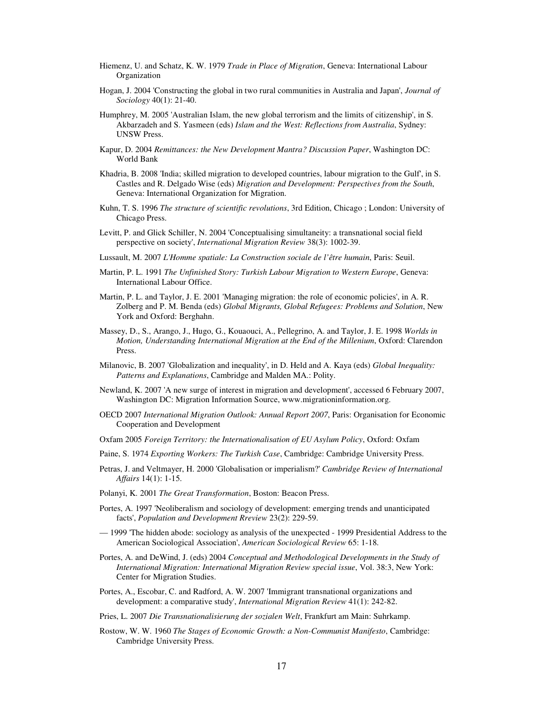- Hiemenz, U. and Schatz, K. W. 1979 *Trade in Place of Migration*, Geneva: International Labour Organization
- Hogan, J. 2004 'Constructing the global in two rural communities in Australia and Japan', *Journal of Sociology* 40(1): 21-40.
- Humphrey, M. 2005 'Australian Islam, the new global terrorism and the limits of citizenship', in S. Akbarzadeh and S. Yasmeen (eds) *Islam and the West: Reflections from Australia*, Sydney: UNSW Press.
- Kapur, D. 2004 *Remittances: the New Development Mantra? Discussion Paper*, Washington DC: World Bank
- Khadria, B. 2008 'India; skilled migration to developed countries, labour migration to the Gulf', in S. Castles and R. Delgado Wise (eds) *Migration and Development: Perspectives from the South*, Geneva: International Organization for Migration.
- Kuhn, T. S. 1996 *The structure of scientific revolutions*, 3rd Edition, Chicago ; London: University of Chicago Press.
- Levitt, P. and Glick Schiller, N. 2004 'Conceptualising simultaneity: a transnational social field perspective on society', *International Migration Review* 38(3): 1002-39.
- Lussault, M. 2007 *L'Homme spatiale: La Construction sociale de l'être humain*, Paris: Seuil.
- Martin, P. L. 1991 *The Unfinished Story: Turkish Labour Migration to Western Europe*, Geneva: International Labour Office.
- Martin, P. L. and Taylor, J. E. 2001 'Managing migration: the role of economic policies', in A. R. Zolberg and P. M. Benda (eds) *Global Migrants, Global Refugees: Problems and Solution*, New York and Oxford: Berghahn.
- Massey, D., S., Arango, J., Hugo, G., Kouaouci, A., Pellegrino, A. and Taylor, J. E. 1998 *Worlds in Motion, Understanding International Migration at the End of the Millenium*, Oxford: Clarendon Press.
- Milanovic, B. 2007 'Globalization and inequality', in D. Held and A. Kaya (eds) *Global Inequality: Patterns and Explanations*, Cambridge and Malden MA.: Polity.
- Newland, K. 2007 'A new surge of interest in migration and development', accessed 6 February 2007, Washington DC: Migration Information Source, www.migrationinformation.org.
- OECD 2007 *International Migration Outlook: Annual Report 2007*, Paris: Organisation for Economic Cooperation and Development
- Oxfam 2005 *Foreign Territory: the Internationalisation of EU Asylum Policy*, Oxford: Oxfam
- Paine, S. 1974 *Exporting Workers: The Turkish Case*, Cambridge: Cambridge University Press.
- Petras, J. and Veltmayer, H. 2000 'Globalisation or imperialism?'*Cambridge Review of International Affairs* 14(1): 1-15.
- Polanyi, K. 2001 *The Great Transformation*, Boston: Beacon Press.
- Portes, A. 1997 'Neoliberalism and sociology of development: emerging trends and unanticipated facts', *Population and Development Rreview* 23(2): 229-59.
- 1999 'The hidden abode: sociology as analysis of the unexpected 1999 Presidential Address to the American Sociological Association', *American Sociological Review* 65: 1-18.
- Portes, A. and DeWind, J. (eds) 2004 *Conceptual and Methodological Developments in the Study of International Migration: International Migration Review special issue*, Vol. 38:3, New York: Center for Migration Studies.
- Portes, A., Escobar, C. and Radford, A. W. 2007 'Immigrant transnational organizations and development: a comparative study', *International Migration Review* 41(1): 242-82.
- Pries, L. 2007 *Die Transnationalisierung der sozialen Welt*, Frankfurt am Main: Suhrkamp.
- Rostow, W. W. 1960 *The Stages of Economic Growth: a Non-Communist Manifesto*, Cambridge: Cambridge University Press.